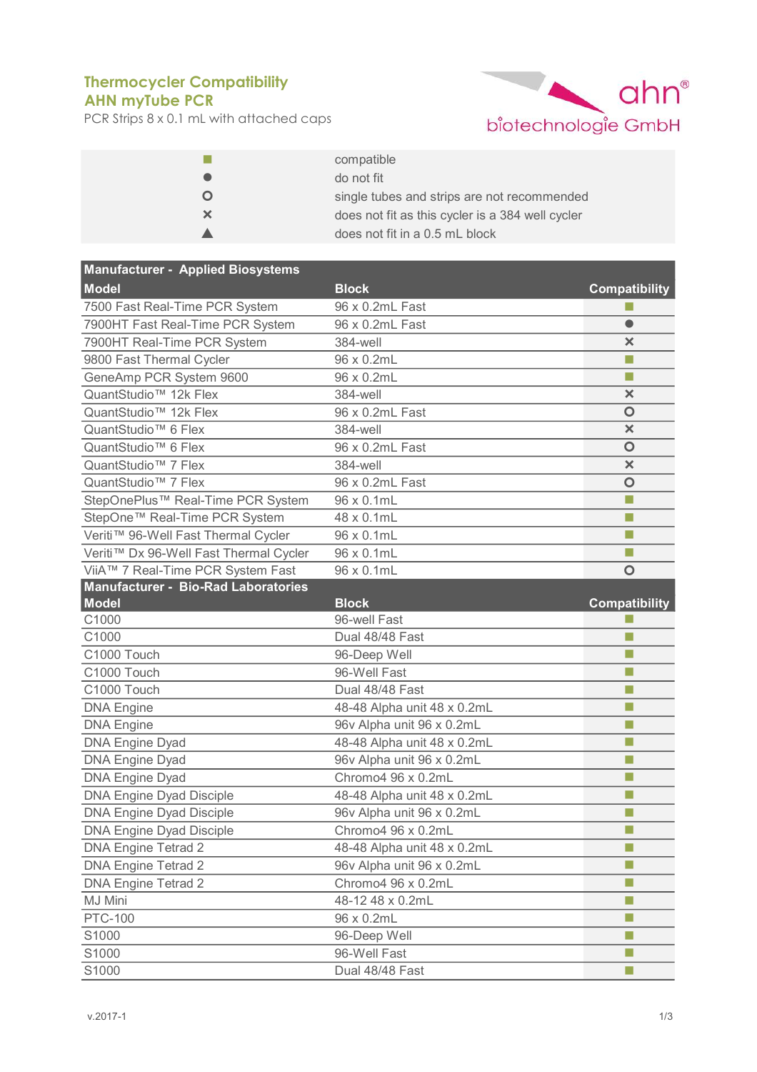**AHN myTube PCR Thermocycler Compatibility** 

PCR Strips 8 x 0.1 mL with attached caps



|    | compatible                                       |
|----|--------------------------------------------------|
|    | do not fit                                       |
|    | single tubes and strips are not recommended      |
| ×. | does not fit as this cycler is a 384 well cycler |
|    | does not fit in a 0.5 mL block                   |

| <b>Manufacturer - Applied Biosystems</b>   |                             |                           |
|--------------------------------------------|-----------------------------|---------------------------|
| Model                                      | <b>Block</b>                | <b>Compatibility</b>      |
| 7500 Fast Real-Time PCR System             | 96 x 0.2mL Fast             |                           |
| 7900HT Fast Real-Time PCR System           | 96 x 0.2mL Fast             | $\bullet$                 |
| 7900HT Real-Time PCR System                | 384-well                    | $\boldsymbol{\mathsf{x}}$ |
| 9800 Fast Thermal Cycler                   | 96 x 0.2mL                  | m.                        |
| GeneAmp PCR System 9600                    | 96 x 0.2mL                  | П                         |
| QuantStudio <sup>™</sup> 12k Flex          | 384-well                    | ×                         |
| QuantStudio <sup>™</sup> 12k Flex          | 96 x 0.2mL Fast             | $\bullet$                 |
| QuantStudio <sup>™</sup> 6 Flex            | 384-well                    | $\boldsymbol{\mathsf{x}}$ |
| QuantStudio <sup>™</sup> 6 Flex            | 96 x 0.2mL Fast             | $\bullet$                 |
| QuantStudio <sup>™</sup> 7 Flex            | 384-well                    | $\pmb{\times}$            |
| QuantStudio <sup>™</sup> 7 Flex            | 96 x 0.2mL Fast             | $\bullet$                 |
| StepOnePlus™ Real-Time PCR System          | 96 x 0.1mL                  | ш                         |
| StepOne™ Real-Time PCR System              | 48 x 0.1mL                  | H.                        |
| Veriti™ 96-Well Fast Thermal Cycler        | 96 x 0.1mL                  | m.                        |
| Veriti™ Dx 96-Well Fast Thermal Cycler     | 96 x 0.1mL                  | п                         |
| ViiA™ 7 Real-Time PCR System Fast          | 96 x 0.1mL                  | $\bullet$                 |
| <b>Manufacturer - Bio-Rad Laboratories</b> |                             |                           |
| <b>Model</b>                               | <b>Block</b>                | <b>Compatibility</b>      |
| C1000                                      | 96-well Fast                |                           |
| C1000                                      | Dual 48/48 Fast             | m.                        |
| C1000 Touch                                | 96-Deep Well                | п                         |
| C1000 Touch                                | 96-Well Fast                | п                         |
| C1000 Touch                                | Dual 48/48 Fast             | m.                        |
| <b>DNA Engine</b>                          | 48-48 Alpha unit 48 x 0.2mL | H.                        |
| <b>DNA Engine</b>                          | 96v Alpha unit 96 x 0.2mL   | п                         |
| <b>DNA Engine Dyad</b>                     | 48-48 Alpha unit 48 x 0.2mL | П                         |
| <b>DNA Engine Dyad</b>                     | 96v Alpha unit 96 x 0.2mL   | П                         |
| <b>DNA Engine Dyad</b>                     | Chromo4 96 x 0.2mL          | п                         |
| <b>DNA Engine Dyad Disciple</b>            | 48-48 Alpha unit 48 x 0.2mL | П                         |
| <b>DNA Engine Dyad Disciple</b>            | 96v Alpha unit 96 x 0.2mL   | H                         |
| DNA Engine Dyad Disciple                   | Chromo4 96 x 0.2mL          |                           |
| <b>DNA Engine Tetrad 2</b>                 | 48-48 Alpha unit 48 x 0.2mL | ш                         |
| <b>DNA Engine Tetrad 2</b>                 | 96v Alpha unit 96 x 0.2mL   |                           |
| <b>DNA Engine Tetrad 2</b>                 | Chromo4 96 x 0.2mL          | ш                         |
| <b>MJ Mini</b>                             | 48-12 48 x 0.2mL            | ш                         |
| <b>PTC-100</b>                             | 96 x 0.2mL                  | п                         |
| S1000                                      | 96-Deep Well                | H.                        |
| S1000                                      | 96-Well Fast                | ш                         |
|                                            |                             |                           |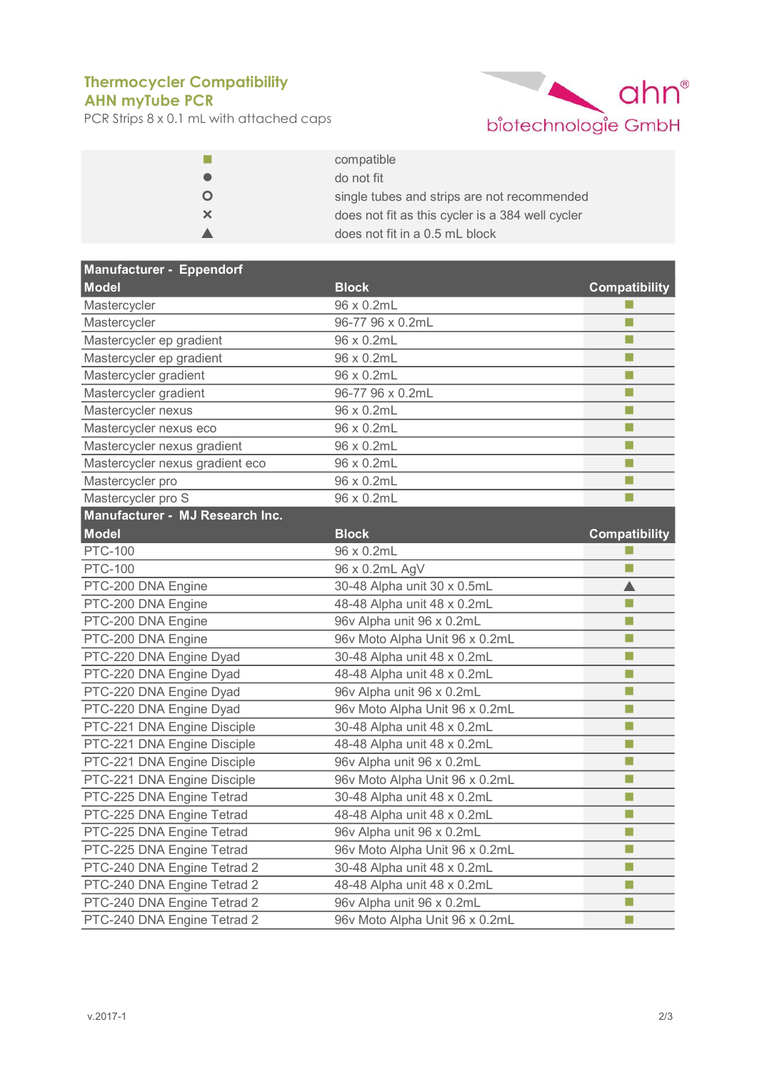**AHN myTube PCR Thermocycler Compatibility** 

PCR Strips 8 x 0.1 mL with attached caps



|   | compatible                                       |
|---|--------------------------------------------------|
|   | do not fit                                       |
| O | single tubes and strips are not recommended      |
| × | does not fit as this cycler is a 384 well cycler |
|   | does not fit in a 0.5 mL block                   |

| <b>Manufacturer - Eppendorf</b> |                                |                      |
|---------------------------------|--------------------------------|----------------------|
| <b>Model</b>                    | <b>Block</b>                   | <b>Compatibility</b> |
| Mastercycler                    | 96 x 0.2mL                     | m.                   |
| Mastercycler                    | 96-77 96 x 0.2mL               | T.                   |
| Mastercycler ep gradient        | 96 x 0.2mL                     | п                    |
| Mastercycler ep gradient        | 96 x 0.2mL                     | п                    |
| Mastercycler gradient           | 96 x 0.2mL                     | H.                   |
| Mastercycler gradient           | 96-77 96 x 0.2mL               | ш                    |
| Mastercycler nexus              | 96 x 0.2mL                     | П                    |
| Mastercycler nexus eco          | 96 x 0.2mL                     | П                    |
| Mastercycler nexus gradient     | 96 x 0.2mL                     | ш                    |
| Mastercycler nexus gradient eco | 96 x 0.2mL                     | п                    |
| Mastercycler pro                | 96 x 0.2mL                     | m.                   |
| Mastercycler pro S              | 96 x 0.2mL                     |                      |
| Manufacturer - MJ Research Inc. |                                |                      |
| <b>Model</b>                    | <b>Block</b>                   | <b>Compatibility</b> |
| <b>PTC-100</b>                  | 96 x 0.2mL                     |                      |
| <b>PTC-100</b>                  | 96 x 0.2mL AgV                 | ш                    |
| PTC-200 DNA Engine              | 30-48 Alpha unit 30 x 0.5mL    |                      |
| PTC-200 DNA Engine              | 48-48 Alpha unit 48 x 0.2mL    | п                    |
| PTC-200 DNA Engine              | 96v Alpha unit 96 x 0.2mL      | ш                    |
| PTC-200 DNA Engine              | 96v Moto Alpha Unit 96 x 0.2mL | п                    |
| PTC-220 DNA Engine Dyad         | 30-48 Alpha unit 48 x 0.2mL    | п                    |
| PTC-220 DNA Engine Dyad         | 48-48 Alpha unit 48 x 0.2mL    | п                    |
| PTC-220 DNA Engine Dyad         | 96v Alpha unit 96 x 0.2mL      | п                    |
| PTC-220 DNA Engine Dyad         | 96v Moto Alpha Unit 96 x 0.2mL | п                    |
| PTC-221 DNA Engine Disciple     | 30-48 Alpha unit 48 x 0.2mL    | H.                   |
| PTC-221 DNA Engine Disciple     | 48-48 Alpha unit 48 x 0.2mL    | ш                    |
| PTC-221 DNA Engine Disciple     | 96v Alpha unit 96 x 0.2mL      | п                    |
| PTC-221 DNA Engine Disciple     | 96v Moto Alpha Unit 96 x 0.2mL | п                    |
| PTC-225 DNA Engine Tetrad       | 30-48 Alpha unit 48 x 0.2mL    | П                    |
| PTC-225 DNA Engine Tetrad       | 48-48 Alpha unit 48 x 0.2mL    | П                    |
| PTC-225 DNA Engine Tetrad       | 96v Alpha unit 96 x 0.2mL      | $\Box$               |
| PTC-225 DNA Engine Tetrad       | 96v Moto Alpha Unit 96 x 0.2mL | H.                   |
| PTC-240 DNA Engine Tetrad 2     | 30-48 Alpha unit 48 x 0.2mL    | $\mathbb{R}^n$       |
| PTC-240 DNA Engine Tetrad 2     | 48-48 Alpha unit 48 x 0.2mL    | П                    |
| PTC-240 DNA Engine Tetrad 2     | 96v Alpha unit 96 x 0.2mL      | L.                   |
| PTC-240 DNA Engine Tetrad 2     | 96v Moto Alpha Unit 96 x 0.2mL | ш                    |